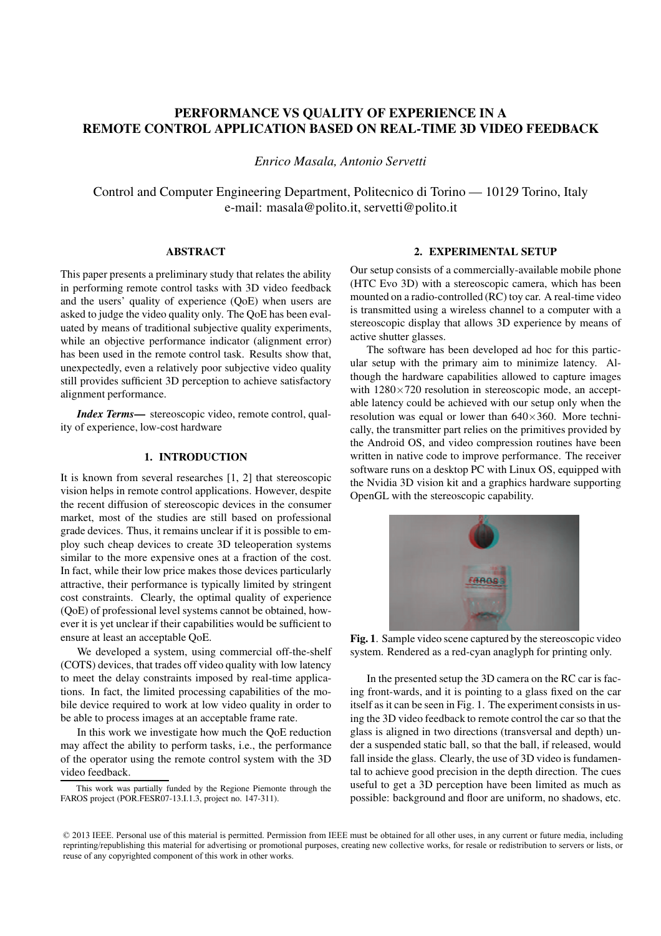# PERFORMANCE VS QUALITY OF EXPERIENCE IN A REMOTE CONTROL APPLICATION BASED ON REAL-TIME 3D VIDEO FEEDBACK

*Enrico Masala, Antonio Servetti*

Control and Computer Engineering Department, Politecnico di Torino — 10129 Torino, Italy e-mail: masala@polito.it, servetti@polito.it

# ABSTRACT

This paper presents a preliminary study that relates the ability in performing remote control tasks with 3D video feedback and the users' quality of experience (QoE) when users are asked to judge the video quality only. The QoE has been evaluated by means of traditional subjective quality experiments, while an objective performance indicator (alignment error) has been used in the remote control task. Results show that, unexpectedly, even a relatively poor subjective video quality still provides sufficient 3D perception to achieve satisfactory alignment performance.

*Index Terms*— stereoscopic video, remote control, quality of experience, low-cost hardware

### 1. INTRODUCTION

It is known from several researches [1, 2] that stereoscopic vision helps in remote control applications. However, despite the recent diffusion of stereoscopic devices in the consumer market, most of the studies are still based on professional grade devices. Thus, it remains unclear if it is possible to employ such cheap devices to create 3D teleoperation systems similar to the more expensive ones at a fraction of the cost. In fact, while their low price makes those devices particularly attractive, their performance is typically limited by stringent cost constraints. Clearly, the optimal quality of experience (QoE) of professional level systems cannot be obtained, however it is yet unclear if their capabilities would be sufficient to ensure at least an acceptable QoE.

We developed a system, using commercial off-the-shelf (COTS) devices, that trades off video quality with low latency to meet the delay constraints imposed by real-time applications. In fact, the limited processing capabilities of the mobile device required to work at low video quality in order to be able to process images at an acceptable frame rate.

In this work we investigate how much the QoE reduction may affect the ability to perform tasks, i.e., the performance of the operator using the remote control system with the 3D video feedback.

### 2. EXPERIMENTAL SETUP

Our setup consists of a commercially-available mobile phone (HTC Evo 3D) with a stereoscopic camera, which has been mounted on a radio-controlled (RC) toy car. A real-time video is transmitted using a wireless channel to a computer with a stereoscopic display that allows 3D experience by means of active shutter glasses.

The software has been developed ad hoc for this particular setup with the primary aim to minimize latency. Although the hardware capabilities allowed to capture images with  $1280\times720$  resolution in stereoscopic mode, an acceptable latency could be achieved with our setup only when the resolution was equal or lower than  $640\times360$ . More technically, the transmitter part relies on the primitives provided by the Android OS, and video compression routines have been written in native code to improve performance. The receiver software runs on a desktop PC with Linux OS, equipped with the Nvidia 3D vision kit and a graphics hardware supporting OpenGL with the stereoscopic capability.



Fig. 1. Sample video scene captured by the stereoscopic video system. Rendered as a red-cyan anaglyph for printing only.

In the presented setup the 3D camera on the RC car is facing front-wards, and it is pointing to a glass fixed on the car itself as it can be seen in Fig. 1. The experiment consists in using the 3D video feedback to remote control the car so that the glass is aligned in two directions (transversal and depth) under a suspended static ball, so that the ball, if released, would fall inside the glass. Clearly, the use of 3D video is fundamental to achieve good precision in the depth direction. The cues useful to get a 3D perception have been limited as much as possible: background and floor are uniform, no shadows, etc.

This work was partially funded by the Regione Piemonte through the FAROS project (POR.FESR07-13.I.1.3, project no. 147-311).

<sup>© 2013</sup> IEEE. Personal use of this material is permitted. Permission from IEEE must be obtained for all other uses, in any current or future media, including reprinting/republishing this material for advertising or promotional purposes, creating new collective works, for resale or redistribution to servers or lists, or reuse of any copyrighted component of this work in other works.